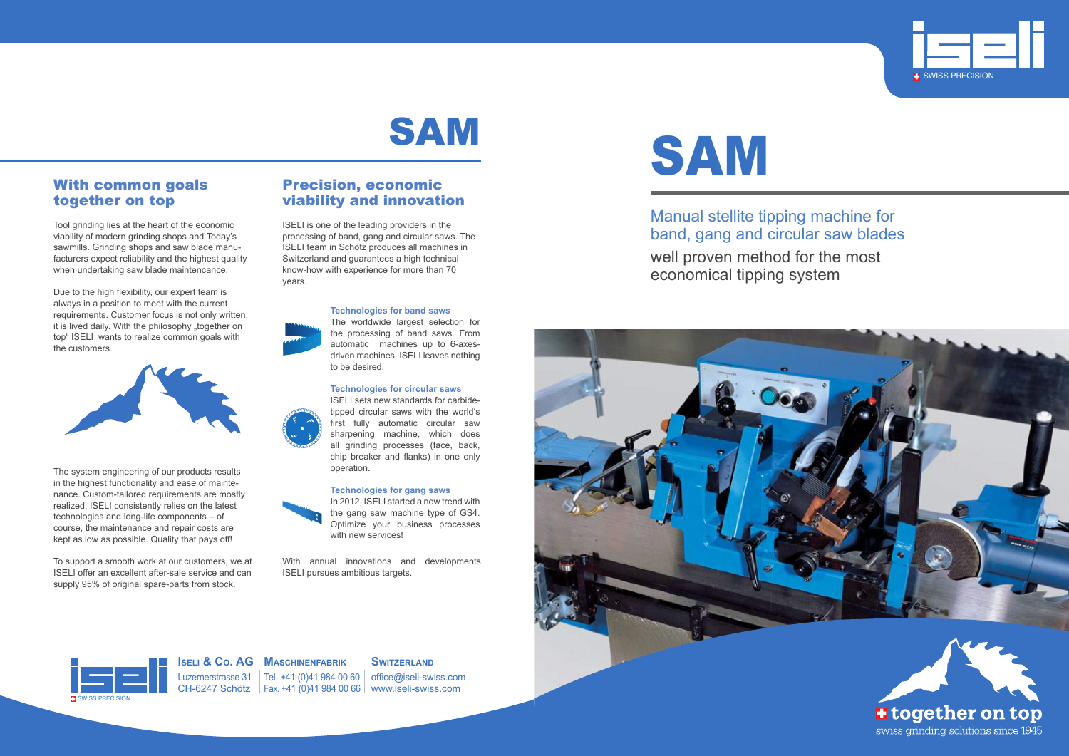Manual stellite tipping machine for band, gang and circular saw blades well proven method for the most economical tipping system









Luzernerstrasse 31 | Tel. +41 (0)41 984 00 60 | office@iseli-swiss.com CH-6247 Schötz Fax. +41 (0)41 984 00 66 www.iseli-swiss.com

**Iseli & Co. AG Maschinenfabrik**

#### **SWITZERLAND**



### With common goals together on top

Tool grinding lies at the heart of the economic viability of modern grinding shops and Today's sawmills. Grinding shops and saw blade manufacturers expect reliability and the highest quality when undertaking saw blade maintencance.

Due to the high flexibility, our expert team is always in a position to meet with the current requirements. Customer focus is not only written, it is lived daily. With the philosophy "together on top" ISELI wants to realize common goals with the customers.



The system engineering of our products results in the highest functionality and ease of maintenance. Custom-tailored requirements are mostly realized. ISELI consistently relies on the latest technologies and long-life components – of course, the maintenance and repair costs are kept as low as possible. Quality that pays off!

In 2012, ISELI started a new trend with the gang saw machine type of GS4. Optimize your business processes with new services!

To support a smooth work at our customers, we at ISELI offer an excellent after-sale service and can supply 95% of original spare-parts from stock.

### Precision, economic viability and innovation

ISELI is one of the leading providers in the processing of band, gang and circular saws. The ISELI team in Schötz produces all machines in Switzerland and guarantees a high technical know-how with experience for more than 70 years.



**Technologies for band saws**

The worldwide largest selection for the processing of band saws. From automatic machines up to 6-axesdriven machines, ISELI leaves nothing to be desired.

#### **Technologies for circular saws**

ISELI sets new standards for carbidetipped circular saws with the world's first fully automatic circular saw sharpening machine, which does all grinding processes (face, back, chip breaker and flanks) in one only operation.

#### **Technologies for gang saws**



With annual innovations and developments ISELI pursues ambitious targets.